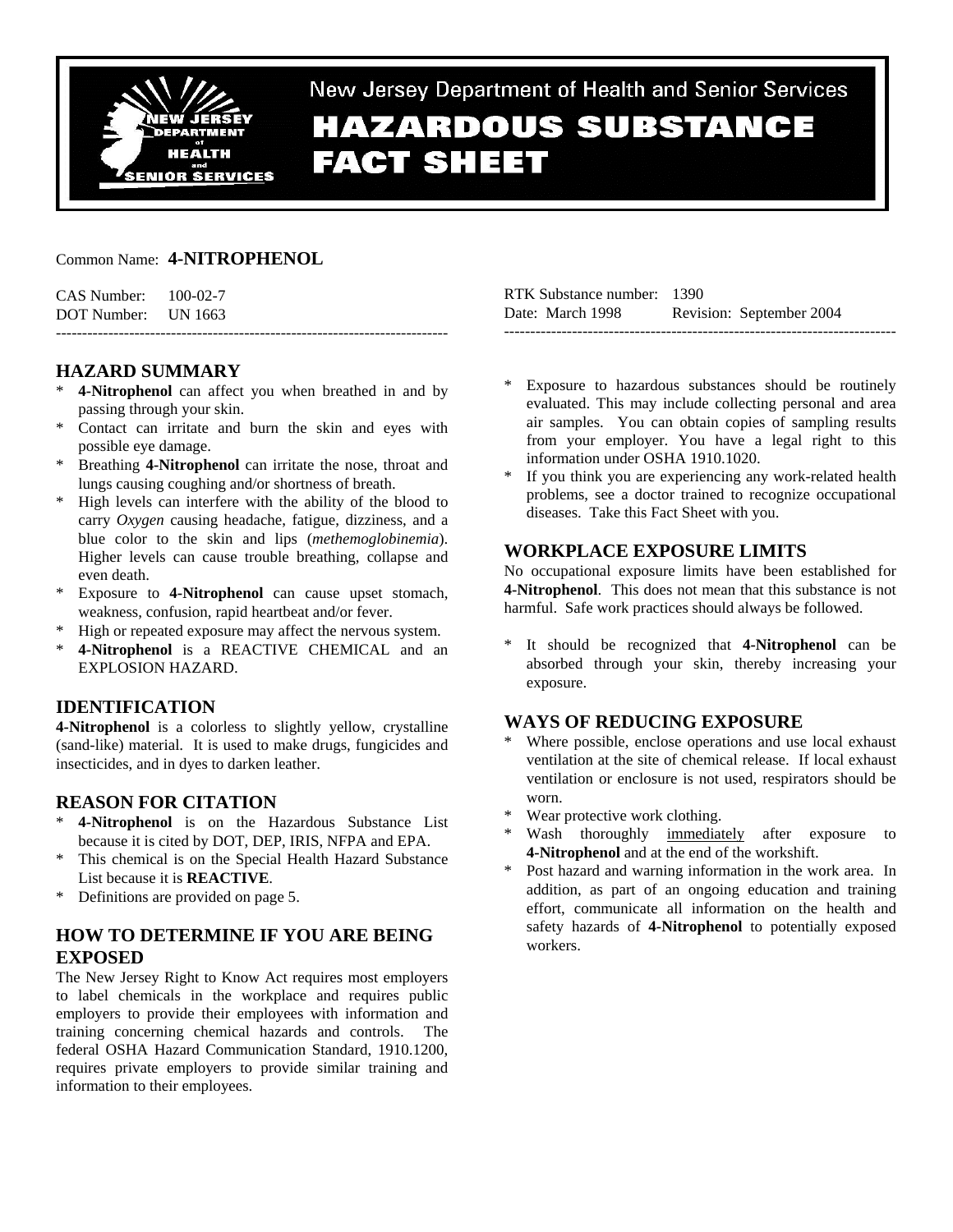

New Jersey Department of Health and Senior Services **HAZARDOUS SUBSTANCE FACT SHEET** 

### Common Name: **4-NITROPHENOL**

| CAS Number: | $100-02-7$ |  |
|-------------|------------|--|
| DOT Number: | UN 1663    |  |

# **HAZARD SUMMARY**

**4-Nitrophenol** can affect you when breathed in and by passing through your skin.

---------------------------------------------------------------------------

- \* Contact can irritate and burn the skin and eyes with possible eye damage.
- \* Breathing **4-Nitrophenol** can irritate the nose, throat and lungs causing coughing and/or shortness of breath.
- High levels can interfere with the ability of the blood to carry *Oxygen* causing headache, fatigue, dizziness, and a blue color to the skin and lips (*methemoglobinemia*). Higher levels can cause trouble breathing, collapse and even death.
- \* Exposure to **4-Nitrophenol** can cause upset stomach, weakness, confusion, rapid heartbeat and/or fever.
- High or repeated exposure may affect the nervous system.
- \* **4-Nitrophenol** is a REACTIVE CHEMICAL and an EXPLOSION HAZARD.

## **IDENTIFICATION**

**4-Nitrophenol** is a colorless to slightly yellow, crystalline (sand-like) material. It is used to make drugs, fungicides and insecticides, and in dyes to darken leather.

## **REASON FOR CITATION**

- \* **4-Nitrophenol** is on the Hazardous Substance List because it is cited by DOT, DEP, IRIS, NFPA and EPA.
- \* This chemical is on the Special Health Hazard Substance List because it is **REACTIVE**.
- \* Definitions are provided on page 5.

# **HOW TO DETERMINE IF YOU ARE BEING EXPOSED**

The New Jersey Right to Know Act requires most employers to label chemicals in the workplace and requires public employers to provide their employees with information and training concerning chemical hazards and controls. The federal OSHA Hazard Communication Standard, 1910.1200, requires private employers to provide similar training and information to their employees.

| RTK Substance number: 1390 |                          |
|----------------------------|--------------------------|
| Date: March 1998           | Revision: September 2004 |
|                            |                          |

- Exposure to hazardous substances should be routinely evaluated. This may include collecting personal and area air samples. You can obtain copies of sampling results from your employer. You have a legal right to this information under OSHA 1910.1020.
- If you think you are experiencing any work-related health problems, see a doctor trained to recognize occupational diseases. Take this Fact Sheet with you.

# **WORKPLACE EXPOSURE LIMITS**

No occupational exposure limits have been established for **4-Nitrophenol**. This does not mean that this substance is not harmful. Safe work practices should always be followed.

It should be recognized that **4-Nitrophenol** can be absorbed through your skin, thereby increasing your exposure.

## **WAYS OF REDUCING EXPOSURE**

- Where possible, enclose operations and use local exhaust ventilation at the site of chemical release. If local exhaust ventilation or enclosure is not used, respirators should be worn.
- Wear protective work clothing.
- Wash thoroughly immediately after exposure to **4-Nitrophenol** and at the end of the workshift.
- Post hazard and warning information in the work area. In addition, as part of an ongoing education and training effort, communicate all information on the health and safety hazards of **4-Nitrophenol** to potentially exposed workers.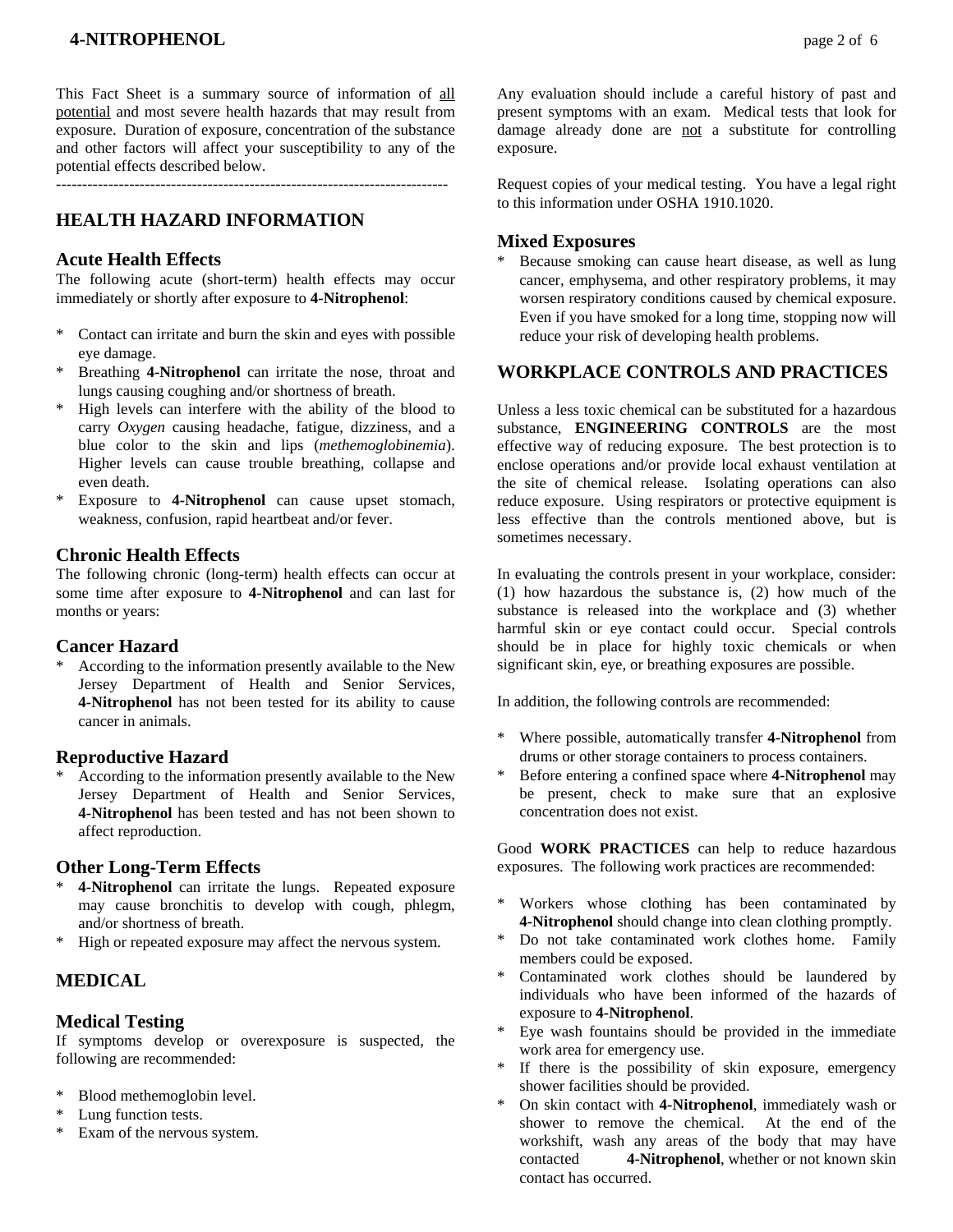This Fact Sheet is a summary source of information of all potential and most severe health hazards that may result from exposure. Duration of exposure, concentration of the substance and other factors will affect your susceptibility to any of the potential effects described below.

# **HEALTH HAZARD INFORMATION**

### **Acute Health Effects**

The following acute (short-term) health effects may occur immediately or shortly after exposure to **4-Nitrophenol**:

- \* Contact can irritate and burn the skin and eyes with possible eye damage.
- Breathing 4-Nitrophenol can irritate the nose, throat and lungs causing coughing and/or shortness of breath.
- High levels can interfere with the ability of the blood to carry *Oxygen* causing headache, fatigue, dizziness, and a blue color to the skin and lips (*methemoglobinemia*). Higher levels can cause trouble breathing, collapse and even death.
- \* Exposure to **4-Nitrophenol** can cause upset stomach, weakness, confusion, rapid heartbeat and/or fever.

### **Chronic Health Effects**

The following chronic (long-term) health effects can occur at some time after exposure to **4-Nitrophenol** and can last for months or years:

#### **Cancer Hazard**

According to the information presently available to the New Jersey Department of Health and Senior Services, **4-Nitrophenol** has not been tested for its ability to cause cancer in animals.

#### **Reproductive Hazard**

According to the information presently available to the New Jersey Department of Health and Senior Services, **4-Nitrophenol** has been tested and has not been shown to affect reproduction.

#### **Other Long-Term Effects**

- \* **4-Nitrophenol** can irritate the lungs. Repeated exposure may cause bronchitis to develop with cough, phlegm, and/or shortness of breath.
- \* High or repeated exposure may affect the nervous system.

# **MEDICAL**

#### **Medical Testing**

If symptoms develop or overexposure is suspected, the following are recommended:

- \* Blood methemoglobin level.
- Lung function tests.
- \* Exam of the nervous system.

Any evaluation should include a careful history of past and present symptoms with an exam. Medical tests that look for damage already done are not a substitute for controlling exposure.

Request copies of your medical testing. You have a legal right to this information under OSHA 1910.1020.

#### **Mixed Exposures**

Because smoking can cause heart disease, as well as lung cancer, emphysema, and other respiratory problems, it may worsen respiratory conditions caused by chemical exposure. Even if you have smoked for a long time, stopping now will reduce your risk of developing health problems.

# **WORKPLACE CONTROLS AND PRACTICES**

Unless a less toxic chemical can be substituted for a hazardous substance, **ENGINEERING CONTROLS** are the most effective way of reducing exposure. The best protection is to enclose operations and/or provide local exhaust ventilation at the site of chemical release. Isolating operations can also reduce exposure. Using respirators or protective equipment is less effective than the controls mentioned above, but is sometimes necessary.

In evaluating the controls present in your workplace, consider: (1) how hazardous the substance is, (2) how much of the substance is released into the workplace and (3) whether harmful skin or eye contact could occur. Special controls should be in place for highly toxic chemicals or when significant skin, eye, or breathing exposures are possible.

In addition, the following controls are recommended:

- \* Where possible, automatically transfer **4-Nitrophenol** from drums or other storage containers to process containers.
- \* Before entering a confined space where **4-Nitrophenol** may be present, check to make sure that an explosive concentration does not exist.

Good **WORK PRACTICES** can help to reduce hazardous exposures. The following work practices are recommended:

- \* Workers whose clothing has been contaminated by **4-Nitrophenol** should change into clean clothing promptly.
- Do not take contaminated work clothes home. Family members could be exposed.
- \* Contaminated work clothes should be laundered by individuals who have been informed of the hazards of exposure to **4-Nitrophenol**.
- Eye wash fountains should be provided in the immediate work area for emergency use.
- \* If there is the possibility of skin exposure, emergency shower facilities should be provided.
- \* On skin contact with **4-Nitrophenol**, immediately wash or shower to remove the chemical. At the end of the workshift, wash any areas of the body that may have contacted **4-Nitrophenol**, whether or not known skin contact has occurred.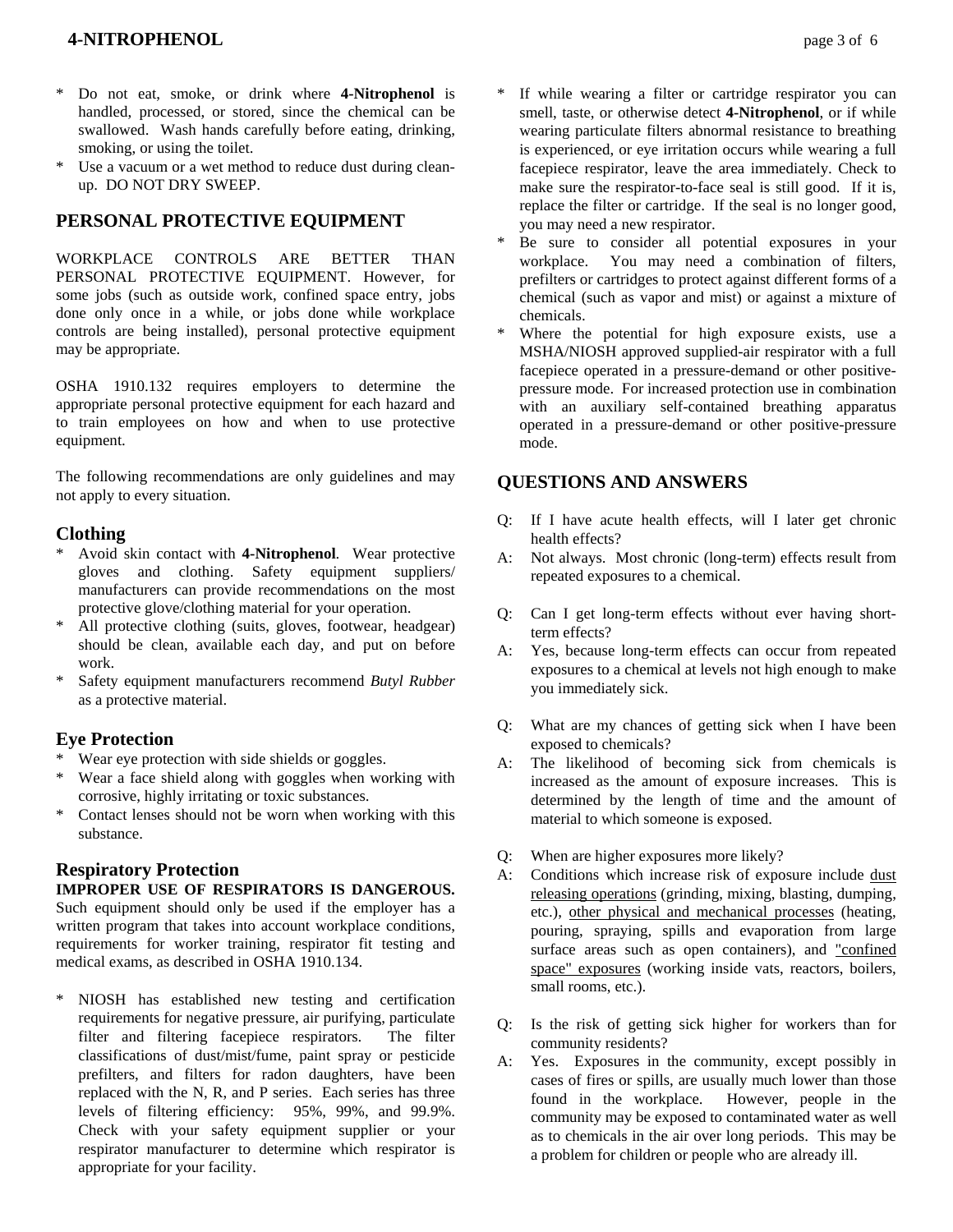- \* Do not eat, smoke, or drink where **4-Nitrophenol** is handled, processed, or stored, since the chemical can be swallowed. Wash hands carefully before eating, drinking, smoking, or using the toilet.
- \* Use a vacuum or a wet method to reduce dust during cleanup. DO NOT DRY SWEEP.

## **PERSONAL PROTECTIVE EQUIPMENT**

WORKPLACE CONTROLS ARE BETTER THAN PERSONAL PROTECTIVE EQUIPMENT. However, for some jobs (such as outside work, confined space entry, jobs done only once in a while, or jobs done while workplace controls are being installed), personal protective equipment may be appropriate.

OSHA 1910.132 requires employers to determine the appropriate personal protective equipment for each hazard and to train employees on how and when to use protective equipment.

The following recommendations are only guidelines and may not apply to every situation.

### **Clothing**

- \* Avoid skin contact with **4-Nitrophenol**. Wear protective gloves and clothing. Safety equipment suppliers/ manufacturers can provide recommendations on the most protective glove/clothing material for your operation.
- All protective clothing (suits, gloves, footwear, headgear) should be clean, available each day, and put on before work.
- \* Safety equipment manufacturers recommend *Butyl Rubber* as a protective material.

## **Eye Protection**

- Wear eye protection with side shields or goggles.
- \* Wear a face shield along with goggles when working with corrosive, highly irritating or toxic substances.
- \* Contact lenses should not be worn when working with this substance.

# **Respiratory Protection**

### **IMPROPER USE OF RESPIRATORS IS DANGEROUS.**

Such equipment should only be used if the employer has a written program that takes into account workplace conditions, requirements for worker training, respirator fit testing and medical exams, as described in OSHA 1910.134.

NIOSH has established new testing and certification requirements for negative pressure, air purifying, particulate filter and filtering facepiece respirators. The filter classifications of dust/mist/fume, paint spray or pesticide prefilters, and filters for radon daughters, have been replaced with the N, R, and P series. Each series has three levels of filtering efficiency: 95%, 99%, and 99.9%. Check with your safety equipment supplier or your respirator manufacturer to determine which respirator is appropriate for your facility.

- \* If while wearing a filter or cartridge respirator you can smell, taste, or otherwise detect **4-Nitrophenol**, or if while wearing particulate filters abnormal resistance to breathing is experienced, or eye irritation occurs while wearing a full facepiece respirator, leave the area immediately. Check to make sure the respirator-to-face seal is still good. If it is, replace the filter or cartridge. If the seal is no longer good, you may need a new respirator.
- Be sure to consider all potential exposures in your workplace. You may need a combination of filters, prefilters or cartridges to protect against different forms of a chemical (such as vapor and mist) or against a mixture of chemicals.
- Where the potential for high exposure exists, use a MSHA/NIOSH approved supplied-air respirator with a full facepiece operated in a pressure-demand or other positivepressure mode. For increased protection use in combination with an auxiliary self-contained breathing apparatus operated in a pressure-demand or other positive-pressure mode.

# **QUESTIONS AND ANSWERS**

- Q: If I have acute health effects, will I later get chronic health effects?
- A: Not always. Most chronic (long-term) effects result from repeated exposures to a chemical.
- Q: Can I get long-term effects without ever having shortterm effects?
- A: Yes, because long-term effects can occur from repeated exposures to a chemical at levels not high enough to make you immediately sick.
- Q: What are my chances of getting sick when I have been exposed to chemicals?
- A: The likelihood of becoming sick from chemicals is increased as the amount of exposure increases. This is determined by the length of time and the amount of material to which someone is exposed.
- Q: When are higher exposures more likely?
- A: Conditions which increase risk of exposure include dust releasing operations (grinding, mixing, blasting, dumping, etc.), other physical and mechanical processes (heating, pouring, spraying, spills and evaporation from large surface areas such as open containers), and "confined space" exposures (working inside vats, reactors, boilers, small rooms, etc.).
- Q: Is the risk of getting sick higher for workers than for community residents?
- A: Yes. Exposures in the community, except possibly in cases of fires or spills, are usually much lower than those found in the workplace. However, people in the community may be exposed to contaminated water as well as to chemicals in the air over long periods. This may be a problem for children or people who are already ill.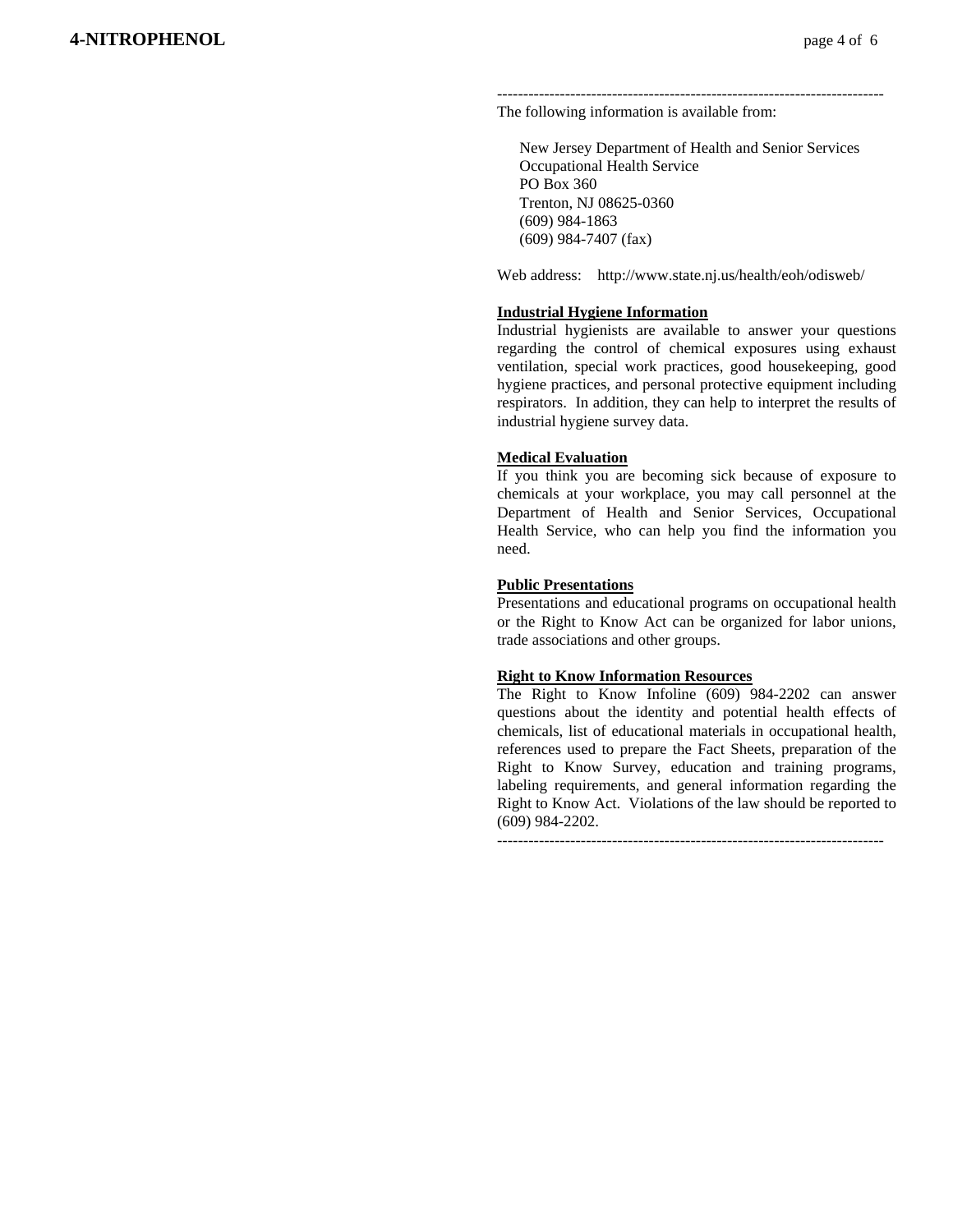-------------------------------------------------------------------------- The following information is available from:

 New Jersey Department of Health and Senior Services Occupational Health Service PO Box 360 Trenton, NJ 08625-0360 (609) 984-1863 (609) 984-7407 (fax)

Web address: http://www.state.nj.us/health/eoh/odisweb/

#### **Industrial Hygiene Information**

Industrial hygienists are available to answer your questions regarding the control of chemical exposures using exhaust ventilation, special work practices, good housekeeping, good hygiene practices, and personal protective equipment including respirators. In addition, they can help to interpret the results of industrial hygiene survey data.

#### **Medical Evaluation**

If you think you are becoming sick because of exposure to chemicals at your workplace, you may call personnel at the Department of Health and Senior Services, Occupational Health Service, who can help you find the information you need.

#### **Public Presentations**

Presentations and educational programs on occupational health or the Right to Know Act can be organized for labor unions, trade associations and other groups.

#### **Right to Know Information Resources**

The Right to Know Infoline (609) 984-2202 can answer questions about the identity and potential health effects of chemicals, list of educational materials in occupational health, references used to prepare the Fact Sheets, preparation of the Right to Know Survey, education and training programs, labeling requirements, and general information regarding the Right to Know Act. Violations of the law should be reported to (609) 984-2202.

 $-$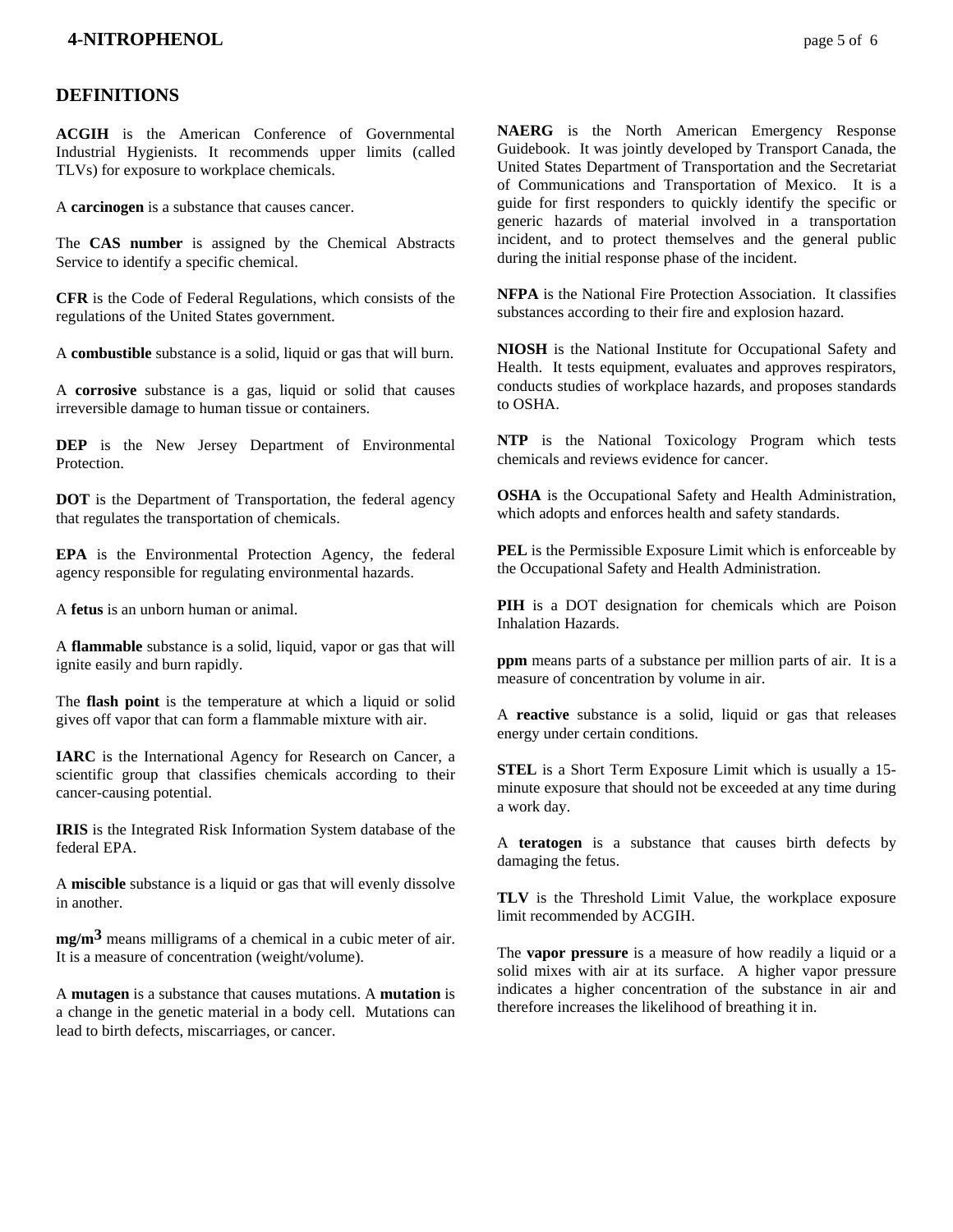#### **DEFINITIONS**

**ACGIH** is the American Conference of Governmental Industrial Hygienists. It recommends upper limits (called TLVs) for exposure to workplace chemicals.

A **carcinogen** is a substance that causes cancer.

The **CAS number** is assigned by the Chemical Abstracts Service to identify a specific chemical.

**CFR** is the Code of Federal Regulations, which consists of the regulations of the United States government.

A **combustible** substance is a solid, liquid or gas that will burn.

A **corrosive** substance is a gas, liquid or solid that causes irreversible damage to human tissue or containers.

**DEP** is the New Jersey Department of Environmental Protection.

**DOT** is the Department of Transportation, the federal agency that regulates the transportation of chemicals.

**EPA** is the Environmental Protection Agency, the federal agency responsible for regulating environmental hazards.

A **fetus** is an unborn human or animal.

A **flammable** substance is a solid, liquid, vapor or gas that will ignite easily and burn rapidly.

The **flash point** is the temperature at which a liquid or solid gives off vapor that can form a flammable mixture with air.

**IARC** is the International Agency for Research on Cancer, a scientific group that classifies chemicals according to their cancer-causing potential.

**IRIS** is the Integrated Risk Information System database of the federal EPA.

A **miscible** substance is a liquid or gas that will evenly dissolve in another.

**mg/m3** means milligrams of a chemical in a cubic meter of air. It is a measure of concentration (weight/volume).

A **mutagen** is a substance that causes mutations. A **mutation** is a change in the genetic material in a body cell. Mutations can lead to birth defects, miscarriages, or cancer.

**NAERG** is the North American Emergency Response Guidebook. It was jointly developed by Transport Canada, the United States Department of Transportation and the Secretariat of Communications and Transportation of Mexico. It is a guide for first responders to quickly identify the specific or generic hazards of material involved in a transportation incident, and to protect themselves and the general public during the initial response phase of the incident.

**NFPA** is the National Fire Protection Association. It classifies substances according to their fire and explosion hazard.

**NIOSH** is the National Institute for Occupational Safety and Health. It tests equipment, evaluates and approves respirators, conducts studies of workplace hazards, and proposes standards to OSHA.

**NTP** is the National Toxicology Program which tests chemicals and reviews evidence for cancer.

**OSHA** is the Occupational Safety and Health Administration, which adopts and enforces health and safety standards.

**PEL** is the Permissible Exposure Limit which is enforceable by the Occupational Safety and Health Administration.

**PIH** is a DOT designation for chemicals which are Poison Inhalation Hazards.

**ppm** means parts of a substance per million parts of air. It is a measure of concentration by volume in air.

A **reactive** substance is a solid, liquid or gas that releases energy under certain conditions.

**STEL** is a Short Term Exposure Limit which is usually a 15 minute exposure that should not be exceeded at any time during a work day.

A **teratogen** is a substance that causes birth defects by damaging the fetus.

**TLV** is the Threshold Limit Value, the workplace exposure limit recommended by ACGIH.

The **vapor pressure** is a measure of how readily a liquid or a solid mixes with air at its surface. A higher vapor pressure indicates a higher concentration of the substance in air and therefore increases the likelihood of breathing it in.